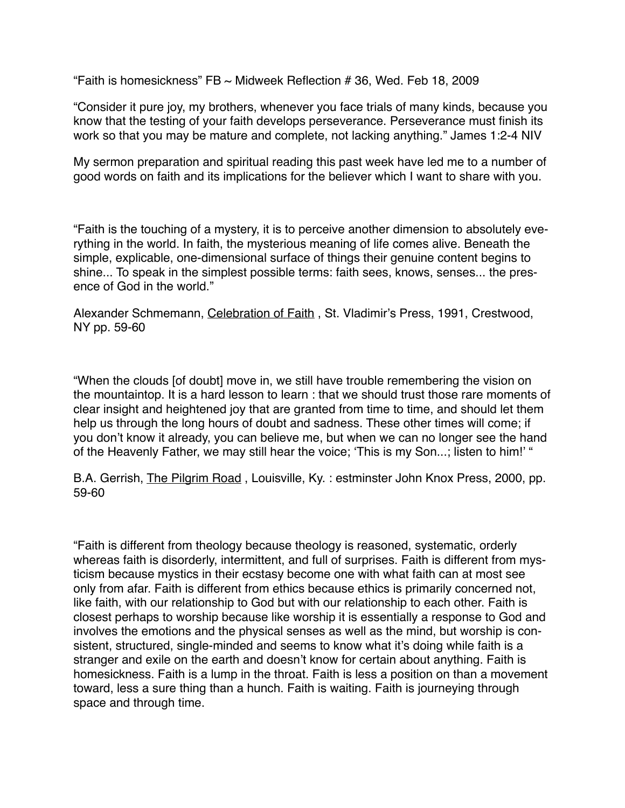"Faith is homesickness"  $FB \sim$  Midweek Reflection # 36, Wed. Feb 18, 2009

"Consider it pure joy, my brothers, whenever you face trials of many kinds, because you know that the testing of your faith develops perseverance. Perseverance must finish its work so that you may be mature and complete, not lacking anything." James 1:2-4 NIV

My sermon preparation and spiritual reading this past week have led me to a number of good words on faith and its implications for the believer which I want to share with you.

"Faith is the touching of a mystery, it is to perceive another dimension to absolutely everything in the world. In faith, the mysterious meaning of life comes alive. Beneath the simple, explicable, one-dimensional surface of things their genuine content begins to shine... To speak in the simplest possible terms: faith sees, knows, senses... the presence of God in the world."

Alexander Schmemann, Celebration of Faith , St. Vladimir's Press, 1991, Crestwood, NY pp. 59-60

"When the clouds [of doubt] move in, we still have trouble remembering the vision on the mountaintop. It is a hard lesson to learn : that we should trust those rare moments of clear insight and heightened joy that are granted from time to time, and should let them help us through the long hours of doubt and sadness. These other times will come; if you don't know it already, you can believe me, but when we can no longer see the hand of the Heavenly Father, we may still hear the voice; 'This is my Son...; listen to him!' "

B.A. Gerrish, The Pilgrim Road , Louisville, Ky. : estminster John Knox Press, 2000, pp. 59-60

"Faith is different from theology because theology is reasoned, systematic, orderly whereas faith is disorderly, intermittent, and full of surprises. Faith is different from mysticism because mystics in their ecstasy become one with what faith can at most see only from afar. Faith is different from ethics because ethics is primarily concerned not, like faith, with our relationship to God but with our relationship to each other. Faith is closest perhaps to worship because like worship it is essentially a response to God and involves the emotions and the physical senses as well as the mind, but worship is consistent, structured, single-minded and seems to know what it's doing while faith is a stranger and exile on the earth and doesn't know for certain about anything. Faith is homesickness. Faith is a lump in the throat. Faith is less a position on than a movement toward, less a sure thing than a hunch. Faith is waiting. Faith is journeying through space and through time.